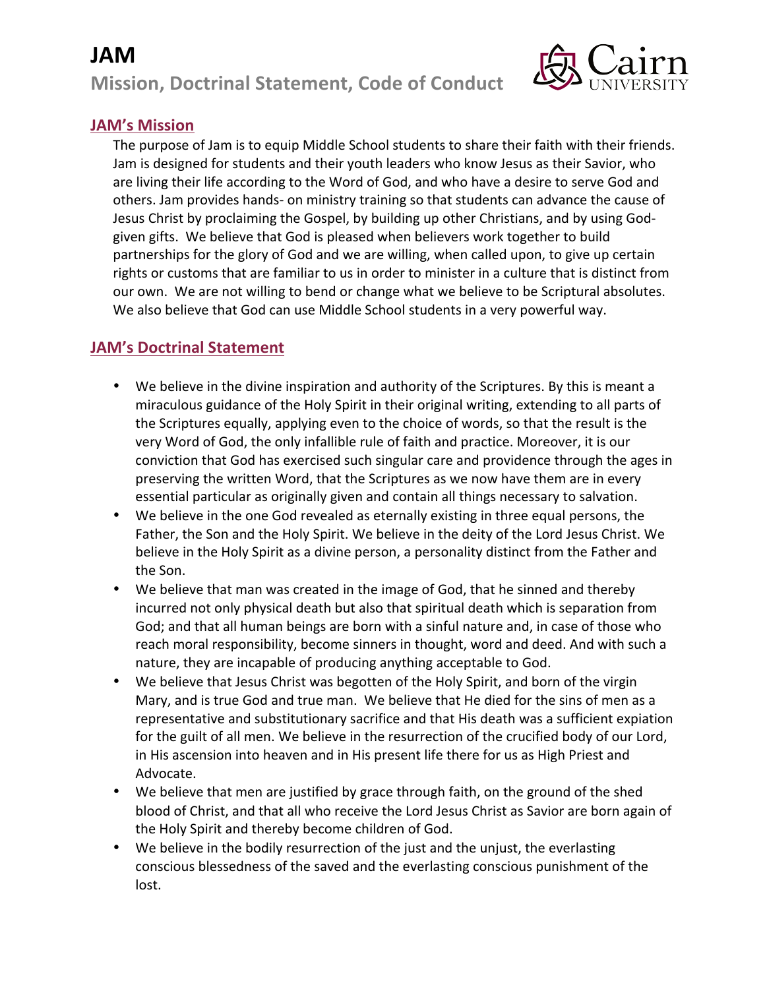# **JAM Mission, Doctrinal Statement, Code of Conduct**



### **JAM's Mission**

The purpose of Jam is to equip Middle School students to share their faith with their friends. Jam is designed for students and their youth leaders who know Jesus as their Savior, who are living their life according to the Word of God, and who have a desire to serve God and others. Jam provides hands- on ministry training so that students can advance the cause of Jesus Christ by proclaiming the Gospel, by building up other Christians, and by using Godgiven gifts. We believe that God is pleased when believers work together to build partnerships for the glory of God and we are willing, when called upon, to give up certain rights or customs that are familiar to us in order to minister in a culture that is distinct from our own. We are not willing to bend or change what we believe to be Scriptural absolutes. We also believe that God can use Middle School students in a very powerful way.

### **JAM's Doctrinal Statement**

- We believe in the divine inspiration and authority of the Scriptures. By this is meant a miraculous guidance of the Holy Spirit in their original writing, extending to all parts of the Scriptures equally, applying even to the choice of words, so that the result is the very Word of God, the only infallible rule of faith and practice. Moreover, it is our conviction that God has exercised such singular care and providence through the ages in preserving the written Word, that the Scriptures as we now have them are in every essential particular as originally given and contain all things necessary to salvation.
- We believe in the one God revealed as eternally existing in three equal persons, the Father, the Son and the Holy Spirit. We believe in the deity of the Lord Jesus Christ. We believe in the Holy Spirit as a divine person, a personality distinct from the Father and the Son.
- We believe that man was created in the image of God, that he sinned and thereby incurred not only physical death but also that spiritual death which is separation from God; and that all human beings are born with a sinful nature and, in case of those who reach moral responsibility, become sinners in thought, word and deed. And with such a nature, they are incapable of producing anything acceptable to God.
- We believe that Jesus Christ was begotten of the Holy Spirit, and born of the virgin Mary, and is true God and true man. We believe that He died for the sins of men as a representative and substitutionary sacrifice and that His death was a sufficient expiation for the guilt of all men. We believe in the resurrection of the crucified body of our Lord, in His ascension into heaven and in His present life there for us as High Priest and Advocate.
- We believe that men are justified by grace through faith, on the ground of the shed blood of Christ, and that all who receive the Lord Jesus Christ as Savior are born again of the Holy Spirit and thereby become children of God.
- We believe in the bodily resurrection of the just and the unjust, the everlasting conscious blessedness of the saved and the everlasting conscious punishment of the lost.